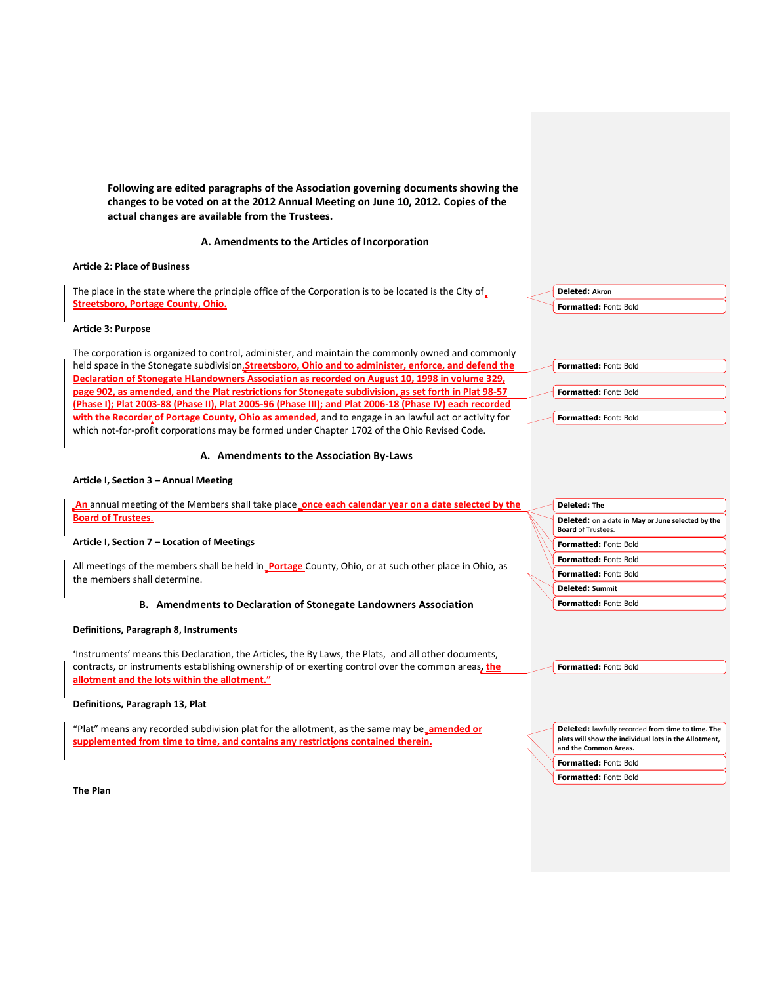**Following are edited paragraphs of the Association governing documents showing the changes to be voted on at the 2012 Annual Meeting on June 10, 2012. Copies of the actual changes are available from the Trustees.**

## **A. Amendments to the Articles of Incorporation**

# **Article 2: Place of Business**

The place in the state where the principle office of the Corporation is to be located is the City of **Streetsboro, Portage County, Ohio.**

# **Article 3: Purpose**

The corporation is organized to control, administer, and maintain the commonly owned and commonly held space in the Stonegate subdivision,**Streetsboro, Ohio and to administer, enforce, and defend the Declaration of Stonegate HLandowners Association as recorded on August 10, 1998 in volume 329, page 902, as amended, and the Plat restrictions for Stonegate subdivision, as set forth in Plat 98-57 (Phase I); Plat 2003-88 (Phase II), Plat 2005-96 (Phase III); and Plat 2006-18 (Phase IV) each recorded with the Recorder of Portage County, Ohio as amended**, and to engage in an lawful act or activity for which not-for-profit corporations may be formed under Chapter 1702 of the Ohio Revised Code.

## **A. Amendments to the Association By-Laws**

# **Article I, Section 3 – Annual Meeting**

| An annual meeting of the Members shall take place <b>conce each calendar year on a date selected by the</b>                                                                                                                                                                                                                            | <b>Deleted: The</b>                                                                                                                 |
|----------------------------------------------------------------------------------------------------------------------------------------------------------------------------------------------------------------------------------------------------------------------------------------------------------------------------------------|-------------------------------------------------------------------------------------------------------------------------------------|
| <b>Board of Trustees.</b>                                                                                                                                                                                                                                                                                                              | <b>Deleted:</b> on a date in May or June selected by the<br><b>Board of Trustees.</b>                                               |
| Article I, Section 7 – Location of Meetings                                                                                                                                                                                                                                                                                            | Formatted: Font: Bold                                                                                                               |
|                                                                                                                                                                                                                                                                                                                                        | <b>Formatted: Font: Bold</b>                                                                                                        |
| All meetings of the members shall be held in <b>Portage</b> County, Ohio, or at such other place in Ohio, as<br>the members shall determine.                                                                                                                                                                                           | Formatted: Font: Bold                                                                                                               |
|                                                                                                                                                                                                                                                                                                                                        | <b>Deleted: Summit</b>                                                                                                              |
| <b>B.</b> Amendments to Declaration of Stonegate Landowners Association                                                                                                                                                                                                                                                                | Formatted: Font: Bold                                                                                                               |
| Definitions, Paragraph 8, Instruments<br>Instruments' means this Declaration, the Articles, the By Laws, the Plats, and all other documents,<br>contracts, or instruments establishing ownership of or exerting control over the common areas, the<br>allotment and the lots within the allotment."<br>Definitions, Paragraph 13, Plat | Formatted: Font: Bold                                                                                                               |
| "Plat" means any recorded subdivision plat for the allotment, as the same may be annended or<br>supplemented from time to time, and contains any restrictions contained therein.                                                                                                                                                       | Deleted: lawfully recorded from time to time. The<br>plats will show the individual lots in the Allotment,<br>and the Common Areas. |
|                                                                                                                                                                                                                                                                                                                                        | <b>Formatted: Font: Bold</b>                                                                                                        |
|                                                                                                                                                                                                                                                                                                                                        | <b>Formatted: Font: Bold</b>                                                                                                        |

**Deleted: Akron Formatted:** Font: Bold

**Formatted:** Font: Bold

**Formatted:** Font: Bold

**Formatted:** Font: Bold

**The Plan**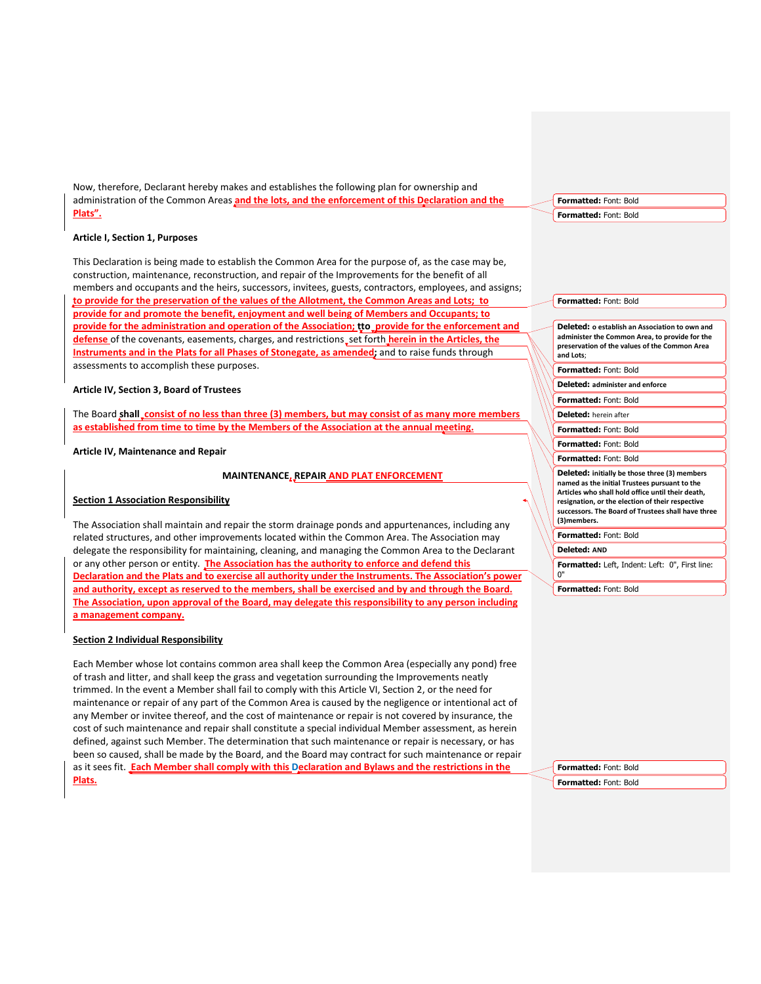Now, therefore, Declarant hereby makes and establishes the following plan for ownership and administration of the Common Areas **and the lots, and the enforcement of this Declaration and the Plats".** 

#### **Article I, Section 1, Purposes**

This Declaration is being made to establish the Common Area for the purpose of, as the case may be, construction, maintenance, reconstruction, and repair of the Improvements for the benefit of all members and occupants and the heirs, successors, invitees, guests, contractors, employees, and assigns; **to provide for the preservation of the values of the Allotment, the Common Areas and Lots; to provide for and promote the benefit, enjoyment and well being of Members and Occupants; to provide for the administration and operation of the Association; tto provide for the enforcement and** defense of the covenants, easements, charges, and restrictions, set forth *herein in the Articles*, the **Instruments and in the Plats for all Phases of Stonegate, as amended;** and to raise funds through assessments to accomplish these purposes.

## **Article IV, Section 3, Board of Trustees**

The Board **shall consist of no less than three (3) members, but may consist of as many more members as established from time to time by the Members of the Association at the annual meeting.**

**Article IV, Maintenance and Repair**

#### **MAINTENANCE, REPAIR AND PLAT ENFORCEMENT**

#### **Section 1 Association Responsibility**

The Association shall maintain and repair the storm drainage ponds and appurtenances, including any related structures, and other improvements located within the Common Area. The Association may delegate the responsibility for maintaining, cleaning, and managing the Common Area to the Declarant or any other person or entity. **The Association has the authority to enforce and defend this Declaration and the Plats and to exercise all authority under the Instruments. The Association's power and authority, except as reserved to the members, shall be exercised and by and through the Board. The Association, upon approval of the Board, may delegate this responsibility to any person including a management company.**

## **Section 2 Individual Responsibility**

Each Member whose lot contains common area shall keep the Common Area (especially any pond) free of trash and litter, and shall keep the grass and vegetation surrounding the Improvements neatly trimmed. In the event a Member shall fail to comply with this Article VI, Section 2, or the need for maintenance or repair of any part of the Common Area is caused by the negligence or intentional act of any Member or invitee thereof, and the cost of maintenance or repair is not covered by insurance, the cost of such maintenance and repair shall constitute a special individual Member assessment, as herein defined, against such Member. The determination that such maintenance or repair is necessary, or has been so caused, shall be made by the Board, and the Board may contract for such maintenance or repair as it sees fit. **Each Member shall comply with this Declaration and Bylaws and the restrictions in the Plats.**

**Formatted:** Font: Bold

#### **Formatted:** Font: Bold

#### **Formatted:** Font: Bold

**Deleted: o establish an Association to own and administer the Common Area, to provide for the preservation of the values of the Common Area and Lots**;

**Formatted:** Font: Bold

**Deleted: administer and enforce**

**Formatted:** Font: Bold

**Deleted:** herein after

**Formatted:** Font: Bold

**Formatted:** Font: Bold

# **Formatted:** Font: Bold

**Deleted: initially be those three (3) members named as the initial Trustees pursuant to the Articles who shall hold office until their death, resignation, or the election of their respective successors. The Board of Trustees shall have three (3)members.**

**Formatted:** Font: Bold

**Deleted: AND**

**Formatted:** Left, Indent: Left: 0", First line: 0"

**Formatted:** Font: Bold

**Formatted:** Font: Bold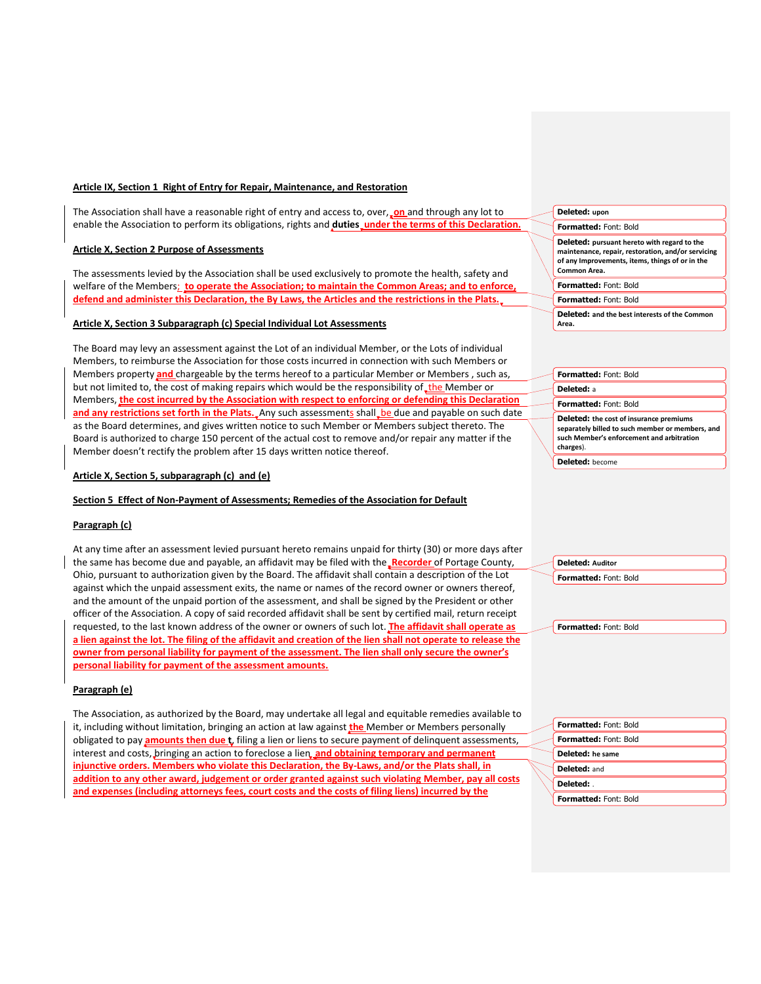# **Article IX, Section 1 Right of Entry for Repair, Maintenance, and Restoration**

The Association shall have a reasonable right of entry and access to, over, **on** and through any lot to enable the Association to perform its obligations, rights and **duties** under the terms of this Declaration.

# **Article X, Section 2 Purpose of Assessments**

The assessments levied by the Association shall be used exclusively to promote the health, safety and welfare of the Members; **to operate the Association; to maintain the Common Areas; and to enforce, defend and administer this Declaration, the By Laws, the Articles and the restrictions in the Plats.**

## **Article X, Section 3 Subparagraph (c) Special Individual Lot Assessments**

The Board may levy an assessment against the Lot of an individual Member, or the Lots of individual Members, to reimburse the Association for those costs incurred in connection with such Members or Members property **and** chargeable by the terms hereof to a particular Member or Members , such as, but not limited to, the cost of making repairs which would be the responsibility of the Member or Members, **the cost incurred by the Association with respect to enforcing or defending this Declaration**  and any restrictions set forth in the Plats. Any such assessments shall be due and payable on such date as the Board determines, and gives written notice to such Member or Members subject thereto. The Board is authorized to charge 150 percent of the actual cost to remove and/or repair any matter if the Member doesn't rectify the problem after 15 days written notice thereof.

# **Article X, Section 5, subparagraph (c) and (e)**

#### **Section 5 Effect of Non-Payment of Assessments; Remedies of the Association for Default**

# **Paragraph (c)**

At any time after an assessment levied pursuant hereto remains unpaid for thirty (30) or more days after the same has become due and payable, an affidavit may be filed with the **Recorder** of Portage County, Ohio, pursuant to authorization given by the Board. The affidavit shall contain a description of the Lot against which the unpaid assessment exits, the name or names of the record owner or owners thereof, and the amount of the unpaid portion of the assessment, and shall be signed by the President or other officer of the Association. A copy of said recorded affidavit shall be sent by certified mail, return receipt requested, to the last known address of the owner or owners of such lot. **The affidavit shall operate as a lien against the lot. The filing of the affidavit and creation of the lien shall not operate to release the owner from personal liability for payment of the assessment. The lien shall only secure the owner's personal liability for payment of the assessment amounts.**

## **Paragraph (e)**

The Association, as authorized by the Board, may undertake all legal and equitable remedies available to it, including without limitation, bringing an action at law against **the** Member or Members personally obligated to pay **amounts then due t**, filing a lien or liens to secure payment of delinquent assessments, interest and costs, bringing an action to foreclose a lien, and obtaining temporary and permanent **injunctive orders. Members who violate this Declaration, the By-Laws, and/or the Plats shall, in addition to any other award, judgement or order granted against such violating Member, pay all costs and expenses (including attorneys fees, court costs and the costs of filing liens) incurred by the** 

# **Deleted: upon**

**Formatted:** Font: Bold

**Deleted: pursuant hereto with regard to the maintenance, repair, restoration, and/or servicing of any Improvements, items, things of or in the Common Area.** 

# **Formatted:** Font: Bold

**Formatted:** Font: Bold **Deleted: and the best interests of the Common Area.** 

**Formatted:** Font: Bold **Deleted:** a **Formatted:** Font: Bold **Deleted: the cost of insurance premiums separately billed to such member or members, and** 

**such Member's enforcement and arbitration charges**).

**Deleted:** become

**Deleted: Auditor Formatted:** Font: Bold

| <b>Formatted: Font: Bold</b> |
|------------------------------|
| <b>Formatted: Font: Bold</b> |
| Deleted: he same             |
| Deleted: and                 |
| Deleted:                     |
| <b>Formatted: Font: Bold</b> |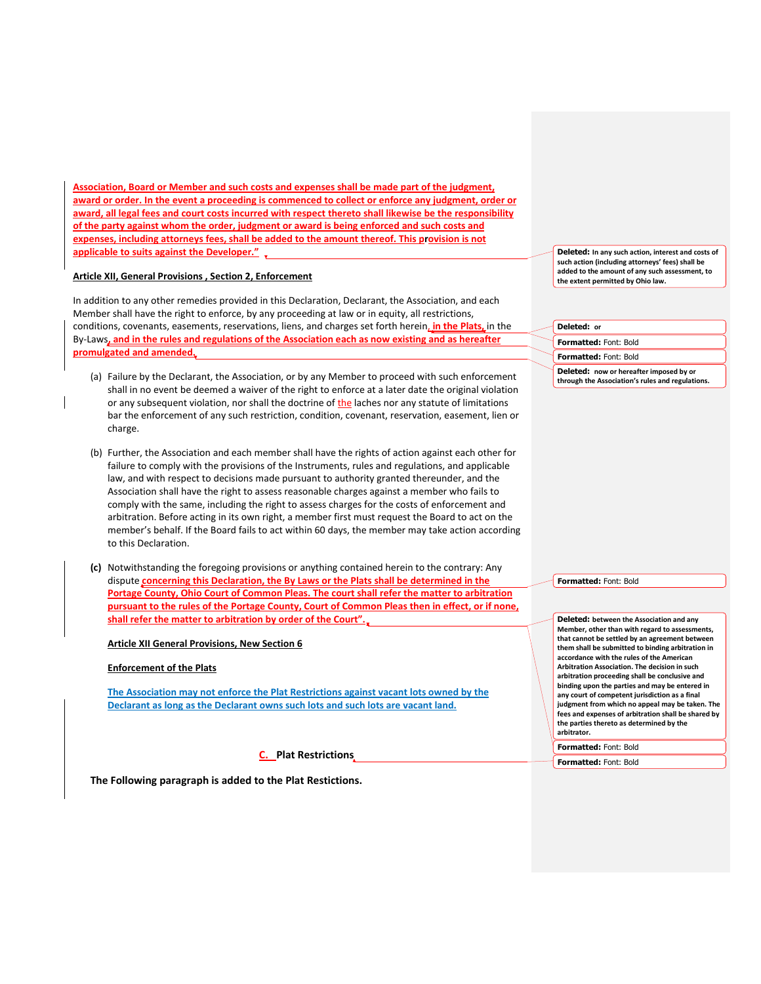**Association, Board or Member and such costs and expenses shall be made part of the judgment, award or order. In the event a proceeding is commenced to collect or enforce any judgment, order or award, all legal fees and court costs incurred with respect thereto shall likewise be the responsibility of the party against whom the order, judgment or award is being enforced and such costs and expenses, including attorneys fees, shall be added to the amount thereof. This provision is not applicable to suits against the Developer."** 

## **Article XII, General Provisions , Section 2, Enforcement**

In addition to any other remedies provided in this Declaration, Declarant, the Association, and each Member shall have the right to enforce, by any proceeding at law or in equity, all restrictions, conditions, covenants, easements, reservations, liens, and charges set forth herein, **in the Plats,** in the By-Laws**, and in the rules and regulations of the Association each as now existing and as hereafter promulgated and amended.**

- (a) Failure by the Declarant, the Association, or by any Member to proceed with such enforcement shall in no event be deemed a waiver of the right to enforce at a later date the original violation or any subsequent violation, nor shall the doctrine of the laches nor any statute of limitations bar the enforcement of any such restriction, condition, covenant, reservation, easement, lien or charge.
- (b) Further, the Association and each member shall have the rights of action against each other for failure to comply with the provisions of the Instruments, rules and regulations, and applicable law, and with respect to decisions made pursuant to authority granted thereunder, and the Association shall have the right to assess reasonable charges against a member who fails to comply with the same, including the right to assess charges for the costs of enforcement and arbitration. Before acting in its own right, a member first must request the Board to act on the member's behalf. If the Board fails to act within 60 days, the member may take action according to this Declaration.
- **(c)** Notwithstanding the foregoing provisions or anything contained herein to the contrary: Any dispute **concerning this Declaration, the By Laws or the Plats shall be determined in the Portage County, Ohio Court of Common Pleas. The court shall refer the matter to arbitration pursuant to the rules of the Portage County, Court of Common Pleas then in effect, or if none, shall refer the matter to arbitration by order of the Court".**

# **Article XII General Provisions, New Section 6**

#### **Enforcement of the Plats**

**The Association may not enforce the Plat Restrictions against vacant lots owned by the Declarant as long as the Declarant owns such lots and such lots are vacant land.**

**C. Plat Restrictions**

**The Following paragraph is added to the Plat Restictions.**

**Deleted: In any such action, interest and costs of such action (including attorneys' fees) shall be added to the amount of any such assessment, to the extent permitted by Ohio law.**

**Deleted: or**

**Formatted:** Font: Bold

**Formatted:** Font: Bold

**Deleted: now or hereafter imposed by or through the Association's rules and regulations.**

**Formatted:** Font: Bold

**Deleted: between the Association and any Member, other than with regard to assessments, that cannot be settled by an agreement between them shall be submitted to binding arbitration in accordance with the rules of the American Arbitration Association. The decision in such arbitration proceeding shall be conclusive and binding upon the parties and may be entered in any court of competent jurisdiction as a final judgment from which no appeal may be taken. The fees and expenses of arbitration shall be shared by the parties thereto as determined by the arbitrator. Formatted:** Font: Bold